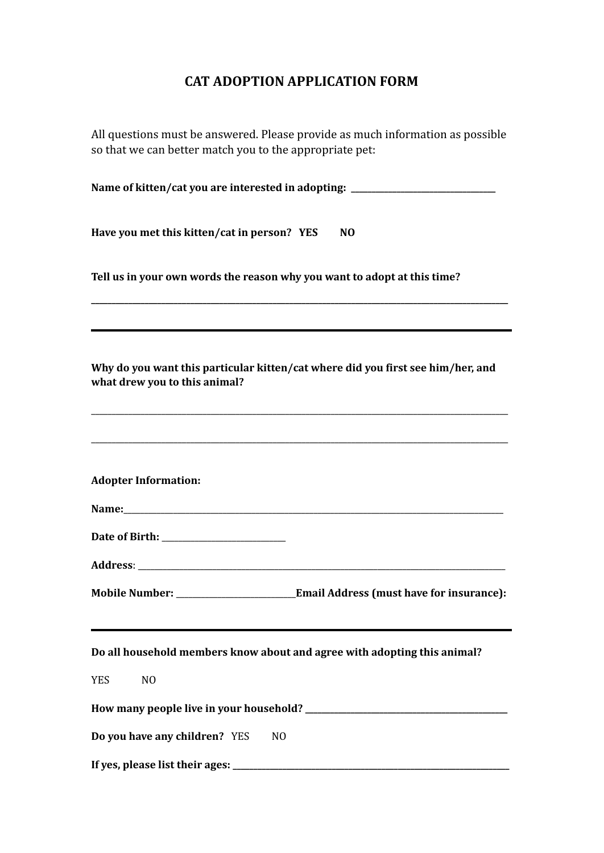## **CAT ADOPTION APPLICATION FORM**

All questions must be answered. Please provide as much information as possible so that we can better match you to the appropriate pet:

| Name of kitten/cat you are interested in adopting: _____________________________                                 |
|------------------------------------------------------------------------------------------------------------------|
| Have you met this kitten/cat in person? YES<br>N <sub>0</sub>                                                    |
| Tell us in your own words the reason why you want to adopt at this time?                                         |
| Why do you want this particular kitten/cat where did you first see him/her, and<br>what drew you to this animal? |
| <b>Adopter Information:</b>                                                                                      |
|                                                                                                                  |
|                                                                                                                  |
|                                                                                                                  |
| Do all household members know about and agree with adopting this animal?                                         |
| <b>YES</b><br>N <sub>O</sub>                                                                                     |
|                                                                                                                  |
| Do you have any children? YES<br>N <sub>0</sub>                                                                  |
|                                                                                                                  |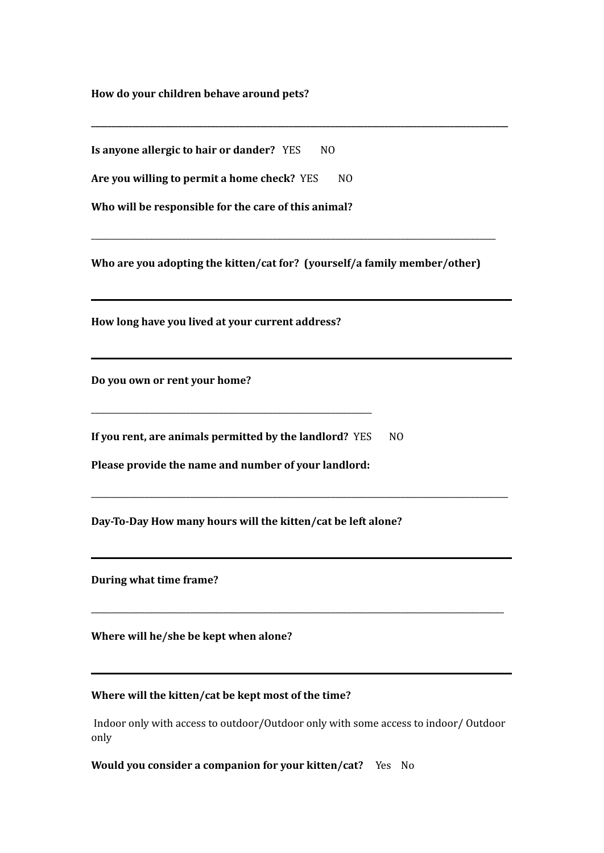**How do your children behave around pets?**

**Is anyone allergic to hair or dander?** YES NO

**Are you willing to permit a home check?** YES NO

**Who will be responsible for the care of this animal?**

**Who are you adopting the kitten/cat for? (yourself/a family member/other)**

\_\_\_\_\_\_\_\_\_\_\_\_\_\_\_\_\_\_\_\_\_\_\_\_\_\_\_\_\_\_\_\_\_\_\_\_\_\_\_\_\_\_\_\_\_\_\_\_\_\_\_\_\_\_\_\_\_\_\_\_\_\_\_\_\_\_\_\_\_\_\_\_\_\_\_\_\_\_\_\_\_\_\_\_\_\_\_\_\_\_\_\_\_\_\_\_\_\_

**\_\_\_\_\_\_\_\_\_\_\_\_\_\_\_\_\_\_\_\_\_\_\_\_\_\_\_\_\_\_\_\_\_\_\_\_\_\_\_\_\_\_\_\_\_\_\_\_\_\_\_\_\_\_\_\_\_\_\_\_\_\_\_\_\_\_\_\_\_\_\_\_\_\_\_\_\_\_\_\_\_\_\_\_\_\_\_\_\_\_\_\_\_\_\_\_\_\_\_\_\_**

**How long have you lived at your current address?**

**Do you own or rent your home?**

**If you rent, are animals permitted by the landlord?** YES NO

**Please provide the name and number of your landlord:**

\_\_\_\_\_\_\_\_\_\_\_\_\_\_\_\_\_\_\_\_\_\_\_\_\_\_\_\_\_\_\_\_\_\_\_\_\_\_\_\_\_\_\_\_\_\_\_\_\_\_\_\_\_\_\_\_\_\_\_\_\_\_\_\_\_\_\_\_

**Day-To-Day How many hours will the kitten/cat be left alone?**

**During what time frame?**

**Where will he/she be kept when alone?**

## **Where will the kitten/cat be kept most of the time?**

Indoor only with access to outdoor/Outdoor only with some access to indoor/ Outdoor only

\_\_\_\_\_\_\_\_\_\_\_\_\_\_\_\_\_\_\_\_\_\_\_\_\_\_\_\_\_\_\_\_\_\_\_\_\_\_\_\_\_\_\_\_\_\_\_\_\_\_\_\_\_\_\_\_\_\_\_\_\_\_\_\_\_\_\_\_\_\_\_\_\_\_\_\_\_\_\_\_\_\_\_\_\_\_\_\_\_\_\_\_\_\_\_\_\_\_\_\_\_

\_\_\_\_\_\_\_\_\_\_\_\_\_\_\_\_\_\_\_\_\_\_\_\_\_\_\_\_\_\_\_\_\_\_\_\_\_\_\_\_\_\_\_\_\_\_\_\_\_\_\_\_\_\_\_\_\_\_\_\_\_\_\_\_\_\_\_\_\_\_\_\_\_\_\_\_\_\_\_\_\_\_\_\_\_\_\_\_\_\_\_\_\_\_\_\_\_\_\_\_

**Would you consider a companion for your kitten/cat?** Yes No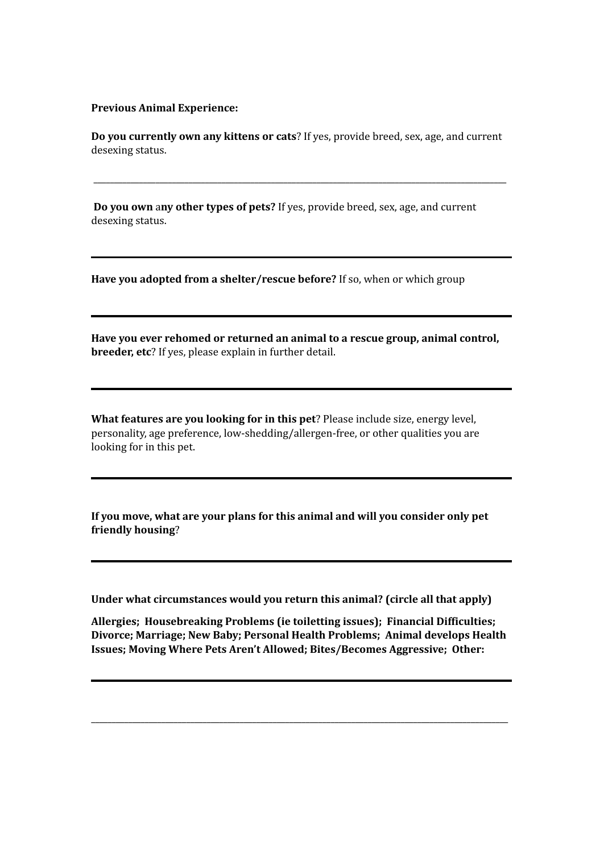## **Previous Animal Experience:**

**Do you currently own any kittens or cats**? If yes, provide breed, sex, age, and current desexing status.

\_\_\_\_\_\_\_\_\_\_\_\_\_\_\_\_\_\_\_\_\_\_\_\_\_\_\_\_\_\_\_\_\_\_\_\_\_\_\_\_\_\_\_\_\_\_\_\_\_\_\_\_\_\_\_\_\_\_\_\_\_\_\_\_\_\_\_\_\_\_\_\_\_\_\_\_\_\_\_\_\_\_\_\_\_\_\_\_\_\_\_\_\_\_\_\_\_\_\_\_

**Do you own** a**ny other types of pets?** If yes, provide breed, sex, age, and current desexing status.

**Have you adopted from a shelter/rescue before?** If so, when or which group

**Have you ever rehomed or returned an animal to a rescue group, animal control, breeder, etc**? If yes, please explain in further detail.

**What features are you looking for in this pet**? Please include size, energy level, personality, age preference, low-shedding/allergen-free, or other qualities you are looking for in this pet.

**If you move, what are your plans for this animal and will you consider only pet friendly housing**?

**Under what circumstances would you return this animal? (circle all that apply)**

**Allergies; Housebreaking Problems (ie toiletting issues); Financial Difficulties; Divorce; Marriage; New Baby; Personal Health Problems; Animal develops Health Issues; Moving Where Pets Aren't Allowed; Bites/Becomes Aggressive; Other:**

\_\_\_\_\_\_\_\_\_\_\_\_\_\_\_\_\_\_\_\_\_\_\_\_\_\_\_\_\_\_\_\_\_\_\_\_\_\_\_\_\_\_\_\_\_\_\_\_\_\_\_\_\_\_\_\_\_\_\_\_\_\_\_\_\_\_\_\_\_\_\_\_\_\_\_\_\_\_\_\_\_\_\_\_\_\_\_\_\_\_\_\_\_\_\_\_\_\_\_\_\_